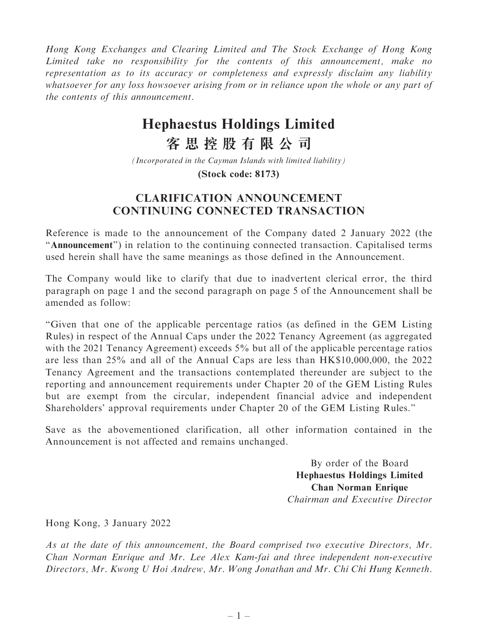Hong Kong Exchanges and Clearing Limited and The Stock Exchange of Hong Kong Limited take no responsibility for the contents of this announcement, make no representation as to its accuracy or completeness and expressly disclaim any liability whatsoever for any loss howsoever arising from or in reliance upon the whole or any part of the contents of this announcement.

## **Hephaestus Holdings Limited**

**客思控股有限公司**

*(Incorporated in the Cayman Islands with limited liability)*

**(Stock code: 8173)**

## CLARIFICATION ANNOUNCEMENT CONTINUING CONNECTED TRANSACTION

Reference is made to the announcement of the Company dated 2 January 2022 (the ''Announcement'') in relation to the continuing connected transaction. Capitalised terms used herein shall have the same meanings as those defined in the Announcement.

The Company would like to clarify that due to inadvertent clerical error, the third paragraph on page 1 and the second paragraph on page 5 of the Announcement shall be amended as follow:

''Given that one of the applicable percentage ratios (as defined in the GEM Listing Rules) in respect of the Annual Caps under the 2022 Tenancy Agreement (as aggregated with the 2021 Tenancy Agreement) exceeds 5% but all of the applicable percentage ratios are less than 25% and all of the Annual Caps are less than HK\$10,000,000, the 2022 Tenancy Agreement and the transactions contemplated thereunder are subject to the reporting and announcement requirements under Chapter 20 of the GEM Listing Rules but are exempt from the circular, independent financial advice and independent Shareholders' approval requirements under Chapter 20 of the GEM Listing Rules.''

Save as the abovementioned clarification, all other information contained in the Announcement is not affected and remains unchanged.

> By order of the Board Hephaestus Holdings Limited Chan Norman Enrique Chairman and Executive Director

Hong Kong, 3 January 2022

As at the date of this announcement, the Board comprised two executive Directors, Mr. Chan Norman Enrique and Mr. Lee Alex Kam-fai and three independent non-executive Directors, Mr. Kwong U Hoi Andrew, Mr. Wong Jonathan and Mr. Chi Chi Hung Kenneth.